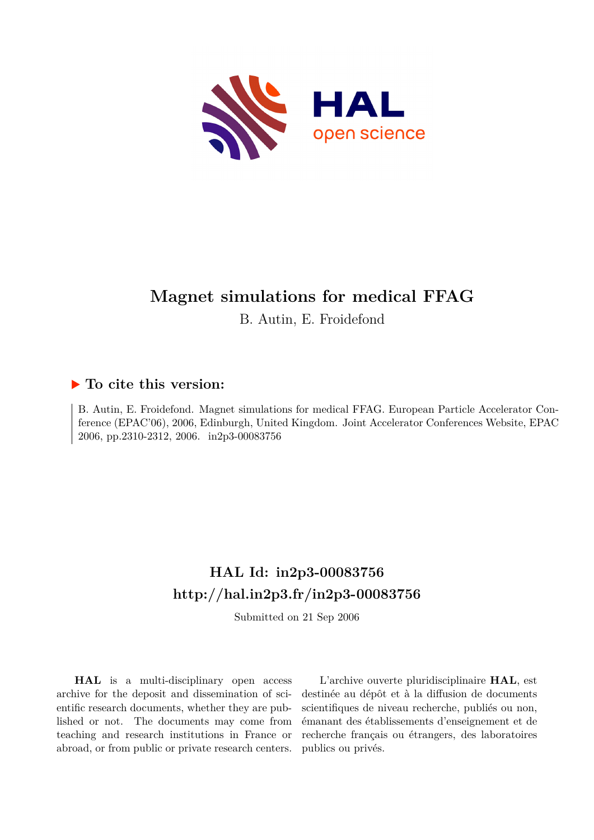

# **Magnet simulations for medical FFAG**

B. Autin, E. Froidefond

# **To cite this version:**

B. Autin, E. Froidefond. Magnet simulations for medical FFAG. European Particle Accelerator Conference (EPAC'06), 2006, Edinburgh, United Kingdom. Joint Accelerator Conferences Website, EPAC 2006, pp.2310-2312, 2006. in2p3-00083756

# **HAL Id: in2p3-00083756 <http://hal.in2p3.fr/in2p3-00083756>**

Submitted on 21 Sep 2006

**HAL** is a multi-disciplinary open access archive for the deposit and dissemination of scientific research documents, whether they are published or not. The documents may come from teaching and research institutions in France or abroad, or from public or private research centers.

L'archive ouverte pluridisciplinaire **HAL**, est destinée au dépôt et à la diffusion de documents scientifiques de niveau recherche, publiés ou non, émanant des établissements d'enseignement et de recherche français ou étrangers, des laboratoires publics ou privés.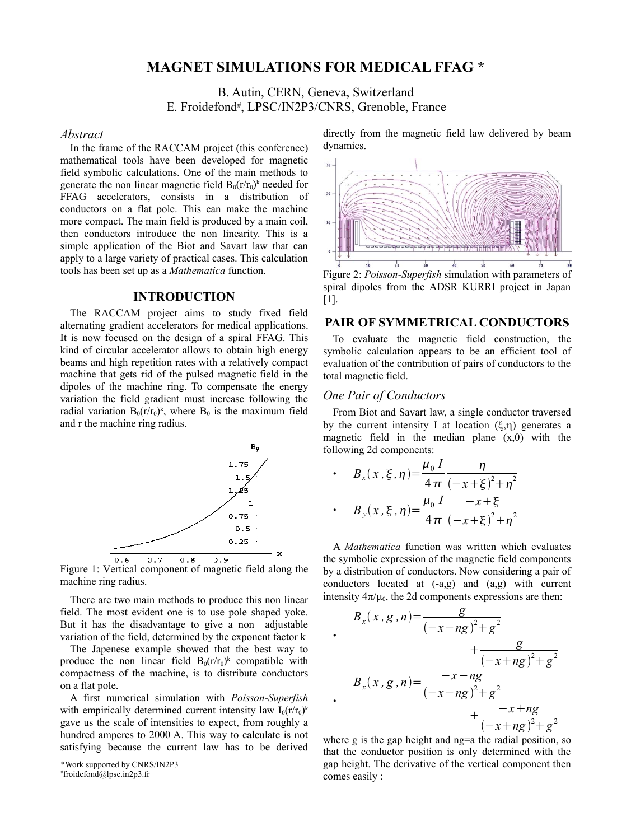## **MAGNET SIMULATIONS FOR MEDICAL FFAG \***

## B. Autin, CERN, Geneva, Switzerland E. Froidefond<sup>#</sup>, LPSC/IN2P3/CNRS, Grenoble, France

#### *Abstract*

In the frame of the RACCAM project (this conference) mathematical tools have been developed for magnetic field symbolic calculations. One of the main methods to generate the non linear magnetic field  $B_0(r/r_0)^k$  needed for FFAG accelerators, consists in a distribution of conductors on a flat pole. This can make the machine more compact. The main field is produced by a main coil, then conductors introduce the non linearity. This is a simple application of the Biot and Savart law that can apply to a large variety of practical cases. This calculation tools has been set up as a *Mathematica* function.

#### **INTRODUCTION**

The RACCAM project aims to study fixed field alternating gradient accelerators for medical applications. It is now focused on the design of a spiral FFAG. This kind of circular accelerator allows to obtain high energy beams and high repetition rates with a relatively compact machine that gets rid of the pulsed magnetic field in the dipoles of the machine ring. To compensate the energy variation the field gradient must increase following the radial variation  $B_0(r/r_0)^k$ , where  $B_0$  is the maximum field and r the machine ring radius.



Figure 1: Vertical component of magnetic field along the machine ring radius.

There are two main methods to produce this non linear field. The most evident one is to use pole shaped yoke. But it has the disadvantage to give a non adjustable variation of the field, determined by the exponent factor k

The Japenese example showed that the best way to produce the non linear field  $B_0(r/r_0)^k$  compatible with compactness of the machine, is to distribute conductors on a flat pole.

A first numerical simulation with *Poisson-Superfish* with empirically determined current intensity law  $I_0(r/r_0)^k$ gave us the scale of intensities to expect, from roughly a hundred amperes to 2000 A. This way to calculate is not satisfying because the current law has to be derived

\*Work supported by CNRS/IN2P3

# froidefond@lpsc.in2p3.fr

directly from the magnetic field law delivered by beam dynamics.



# $[1]$ .

### **PAIR OF SYMMETRICAL CONDUCTORS**

To evaluate the magnetic field construction, the symbolic calculation appears to be an efficient tool of evaluation of the contribution of pairs of conductors to the total magnetic field.

#### *One Pair of Conductors*

•

•

From Biot and Savart law, a single conductor traversed by the current intensity I at location  $(\xi, \eta)$  generates a magnetic field in the median plane  $(x,0)$  with the following 2d components:

• 
$$
B_x(x, \xi, \eta) = \frac{\mu_0 I}{4 \pi} \frac{\eta}{(-x + \xi)^2 + \eta^2}
$$
  
\n•  $B_y(x, \xi, \eta) = \frac{\mu_0 I}{4 \pi} \frac{-x + \xi}{(-x + \xi)^2 + \eta^2}$ 

A *Mathematica* function was written which evaluates the symbolic expression of the magnetic field components by a distribution of conductors. Now considering a pair of conductors located at (-a,g) and (a,g) with current intensity  $4\pi/\mu_0$ , the 2d components expressions are then:

$$
B_x(x, g, n) = \frac{g}{(-x - ng)^2 + g^2} + \frac{g}{(-x + ng)^2 + g^2} B_x(x, g, n) = \frac{-x - ng}{(-x - ng)^2 + g^2} + \frac{-x + ng}{(-x + ng)^2 + g^2}
$$

where g is the gap height and ng=a the radial position, so that the conductor position is only determined with the gap height. The derivative of the vertical component then comes easily :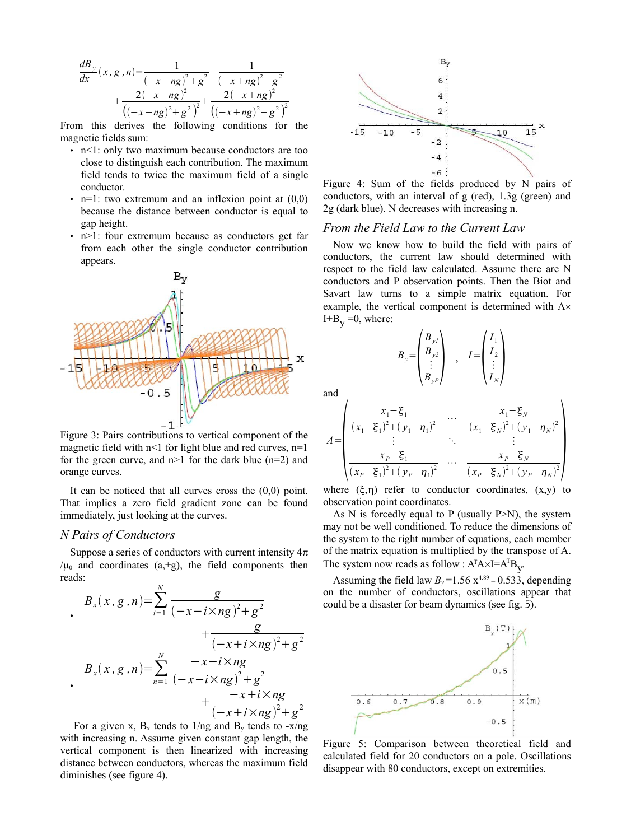$$
\frac{dB_y}{dx}(x, g, n) = \frac{1}{(-x - ng)^2 + g^2} - \frac{1}{(-x + ng)^2 + g^2} + \frac{2(-x - ng)^2}{((-x - ng)^2 + g^2)^2} + \frac{2(-x + ng)^2}{((-x + ng)^2 + g^2)^2}
$$

From this derives the following conditions for the magnetic fields sum:

- n<1: only two maximum because conductors are too close to distinguish each contribution. The maximum field tends to twice the maximum field of a single conductor.
- n=1: two extremum and an inflexion point at  $(0,0)$ because the distance between conductor is equal to gap height.
- n>1: four extremum because as conductors get far from each other the single conductor contribution appears.



Figure 3: Pairs contributions to vertical component of the magnetic field with  $n < 1$  for light blue and red curves,  $n=1$ for the green curve, and  $n>1$  for the dark blue ( $n=2$ ) and orange curves.

It can be noticed that all curves cross the  $(0,0)$  point. That implies a zero field gradient zone can be found immediately, just looking at the curves.

#### *N Pairs of Conductors*

Suppose a series of conductors with current intensity  $4\pi$  $/\mu_0$  and coordinates (a, $\pm$ g), the field components then reads:

$$
B_x(x, g, n) = \sum_{i=1}^{N} \frac{g}{(-x - i \times ng)^2 + g^2} + \frac{g}{(-x + i \times ng)^2 + g^2}
$$
  

$$
B_x(x, g, n) = \sum_{n=1}^{N} \frac{-x - i \times ng}{(-x - i \times ng)^2 + g^2} + \frac{-x + i \times ng}{(-x + i \times ng)^2 + g^2}
$$

For a given x,  $B_x$  tends to  $1/ng$  and  $B_y$  tends to  $-x/ng$ with increasing n. Assume given constant gap length, the vertical component is then linearized with increasing distance between conductors, whereas the maximum field diminishes (see figure 4).



Figure 4: Sum of the fields produced by N pairs of conductors, with an interval of g (red), 1.3g (green) and 2g (dark blue). N decreases with increasing n.

### *From the Field Law to the Current Law*

Now we know how to build the field with pairs of conductors, the current law should determined with respect to the field law calculated. Assume there are N conductors and P observation points. Then the Biot and Savart law turns to a simple matrix equation. For example, the vertical component is determined with A×  $I+B_v=0$ , where:

$$
B_{y} = \begin{pmatrix} B_{yI} \\ B_{y2} \\ \vdots \\ B_{yP} \end{pmatrix} , I = \begin{pmatrix} I_{1} \\ I_{2} \\ \vdots \\ I_{N} \end{pmatrix}
$$

 $\overline{\mathbf{A}}$ 

and

$$
A = \begin{pmatrix} \frac{x_1 - \xi_1}{(x_1 - \xi_1)^2 + (y_1 - \eta_1)^2} & \dots & \frac{x_1 - \xi_N}{(x_1 - \xi_N)^2 + (y_1 - \eta_N)^2} \\ \vdots & \ddots & \vdots \\ \frac{x_p - \xi_1}{(x_p - \xi_1)^2 + (y_p - \eta_1)^2} & \dots & \frac{x_p - \xi_N}{(x_p - \xi_N)^2 + (y_p - \eta_N)^2} \end{pmatrix}
$$

where  $(\xi, \eta)$  refer to conductor coordinates,  $(x,y)$  to observation point coordinates.

As N is forcedly equal to P (usually  $P>N$ ), the system may not be well conditioned. To reduce the dimensions of the system to the right number of equations, each member of the matrix equation is multiplied by the transpose of A. The system now reads as follow :  $A^{T}A \times I = A^{T}B_{y}$ .

Assuming the field law  $B_y = 1.56 \text{ x}^{4.89} - 0.533$ , depending on the number of conductors, oscillations appear that could be a disaster for beam dynamics (see fig. 5).



Figure 5: Comparison between theoretical field and calculated field for 20 conductors on a pole. Oscillations disappear with 80 conductors, except on extremities.